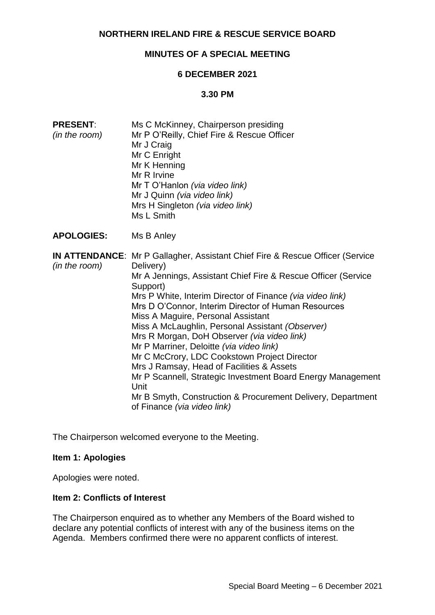# **NORTHERN IRELAND FIRE & RESCUE SERVICE BOARD**

# **MINUTES OF A SPECIAL MEETING**

## **6 DECEMBER 2021**

## **3.30 PM**

| <b>PRESENT:</b><br>(in the room) | Ms C McKinney, Chairperson presiding<br>Mr P O'Reilly, Chief Fire & Rescue Officer<br>Mr J Craig<br>Mr C Enright<br>Mr K Henning<br>Mr R Irvine<br>Mr T O'Hanlon (via video link)<br>Mr J Quinn (via video link)<br>Mrs H Singleton (via video link)<br>Ms L Smith                                                                                                                                                                                                                                                                                                                                                                                                                                                                                        |
|----------------------------------|-----------------------------------------------------------------------------------------------------------------------------------------------------------------------------------------------------------------------------------------------------------------------------------------------------------------------------------------------------------------------------------------------------------------------------------------------------------------------------------------------------------------------------------------------------------------------------------------------------------------------------------------------------------------------------------------------------------------------------------------------------------|
| <b>APOLOGIES:</b>                | Ms B Anley                                                                                                                                                                                                                                                                                                                                                                                                                                                                                                                                                                                                                                                                                                                                                |
| (in the room)                    | <b>IN ATTENDANCE:</b> Mr P Gallagher, Assistant Chief Fire & Rescue Officer (Service<br>Delivery)<br>Mr A Jennings, Assistant Chief Fire & Rescue Officer (Service<br>Support)<br>Mrs P White, Interim Director of Finance (via video link)<br>Mrs D O'Connor, Interim Director of Human Resources<br>Miss A Maguire, Personal Assistant<br>Miss A McLaughlin, Personal Assistant (Observer)<br>Mrs R Morgan, DoH Observer (via video link)<br>Mr P Marriner, Deloitte (via video link)<br>Mr C McCrory, LDC Cookstown Project Director<br>Mrs J Ramsay, Head of Facilities & Assets<br>Mr P Scannell, Strategic Investment Board Energy Management<br>Unit<br>Mr B Smyth, Construction & Procurement Delivery, Department<br>of Finance (via video link) |

The Chairperson welcomed everyone to the Meeting.

## **Item 1: Apologies**

Apologies were noted.

## **Item 2: Conflicts of Interest**

The Chairperson enquired as to whether any Members of the Board wished to declare any potential conflicts of interest with any of the business items on the Agenda. Members confirmed there were no apparent conflicts of interest.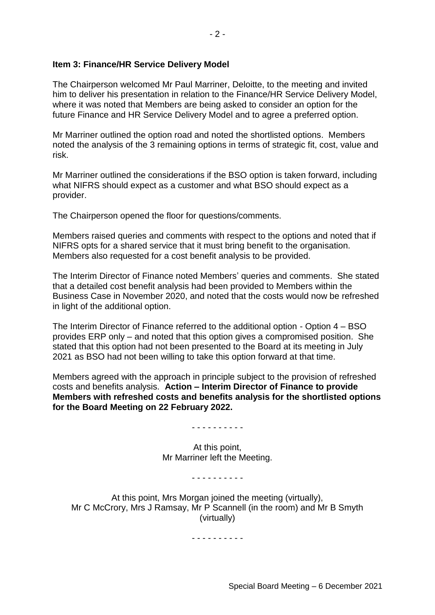## **Item 3: Finance/HR Service Delivery Model**

The Chairperson welcomed Mr Paul Marriner, Deloitte, to the meeting and invited him to deliver his presentation in relation to the Finance/HR Service Delivery Model, where it was noted that Members are being asked to consider an option for the future Finance and HR Service Delivery Model and to agree a preferred option.

Mr Marriner outlined the option road and noted the shortlisted options. Members noted the analysis of the 3 remaining options in terms of strategic fit, cost, value and risk.

Mr Marriner outlined the considerations if the BSO option is taken forward, including what NIFRS should expect as a customer and what BSO should expect as a provider.

The Chairperson opened the floor for questions/comments.

Members raised queries and comments with respect to the options and noted that if NIFRS opts for a shared service that it must bring benefit to the organisation. Members also requested for a cost benefit analysis to be provided.

The Interim Director of Finance noted Members' queries and comments. She stated that a detailed cost benefit analysis had been provided to Members within the Business Case in November 2020, and noted that the costs would now be refreshed in light of the additional option.

The Interim Director of Finance referred to the additional option - Option 4 – BSO provides ERP only – and noted that this option gives a compromised position. She stated that this option had not been presented to the Board at its meeting in July 2021 as BSO had not been willing to take this option forward at that time.

Members agreed with the approach in principle subject to the provision of refreshed costs and benefits analysis. **Action – Interim Director of Finance to provide Members with refreshed costs and benefits analysis for the shortlisted options for the Board Meeting on 22 February 2022.**

- - - - - - - - - -

At this point, Mr Marriner left the Meeting.

- - - - - - - - - -

At this point, Mrs Morgan joined the meeting (virtually), Mr C McCrory, Mrs J Ramsay, Mr P Scannell (in the room) and Mr B Smyth (virtually)

- - - - - - - - - -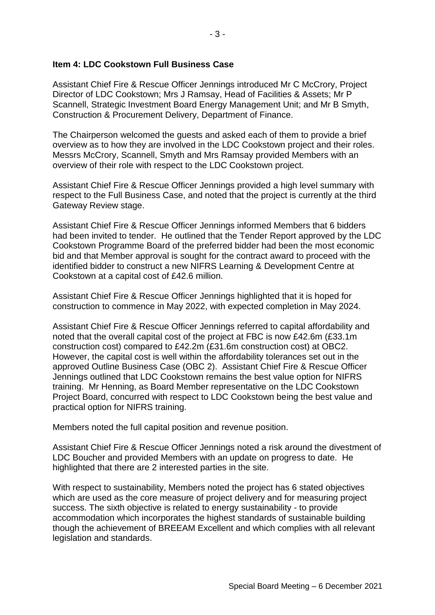## **Item 4: LDC Cookstown Full Business Case**

Assistant Chief Fire & Rescue Officer Jennings introduced Mr C McCrory, Project Director of LDC Cookstown; Mrs J Ramsay, Head of Facilities & Assets; Mr P Scannell, Strategic Investment Board Energy Management Unit; and Mr B Smyth, Construction & Procurement Delivery, Department of Finance.

The Chairperson welcomed the guests and asked each of them to provide a brief overview as to how they are involved in the LDC Cookstown project and their roles. Messrs McCrory, Scannell, Smyth and Mrs Ramsay provided Members with an overview of their role with respect to the LDC Cookstown project.

Assistant Chief Fire & Rescue Officer Jennings provided a high level summary with respect to the Full Business Case, and noted that the project is currently at the third Gateway Review stage.

Assistant Chief Fire & Rescue Officer Jennings informed Members that 6 bidders had been invited to tender. He outlined that the Tender Report approved by the LDC Cookstown Programme Board of the preferred bidder had been the most economic bid and that Member approval is sought for the contract award to proceed with the identified bidder to construct a new NIFRS Learning & Development Centre at Cookstown at a capital cost of £42.6 million.

Assistant Chief Fire & Rescue Officer Jennings highlighted that it is hoped for construction to commence in May 2022, with expected completion in May 2024.

Assistant Chief Fire & Rescue Officer Jennings referred to capital affordability and noted that the overall capital cost of the project at FBC is now £42.6m (£33.1m construction cost) compared to £42.2m (£31.6m construction cost) at OBC2. However, the capital cost is well within the affordability tolerances set out in the approved Outline Business Case (OBC 2). Assistant Chief Fire & Rescue Officer Jennings outlined that LDC Cookstown remains the best value option for NIFRS training. Mr Henning, as Board Member representative on the LDC Cookstown Project Board, concurred with respect to LDC Cookstown being the best value and practical option for NIFRS training.

Members noted the full capital position and revenue position.

Assistant Chief Fire & Rescue Officer Jennings noted a risk around the divestment of LDC Boucher and provided Members with an update on progress to date. He highlighted that there are 2 interested parties in the site.

With respect to sustainability, Members noted the project has 6 stated objectives which are used as the core measure of project delivery and for measuring project success. The sixth objective is related to energy sustainability - to provide accommodation which incorporates the highest standards of sustainable building though the achievement of BREEAM Excellent and which complies with all relevant legislation and standards.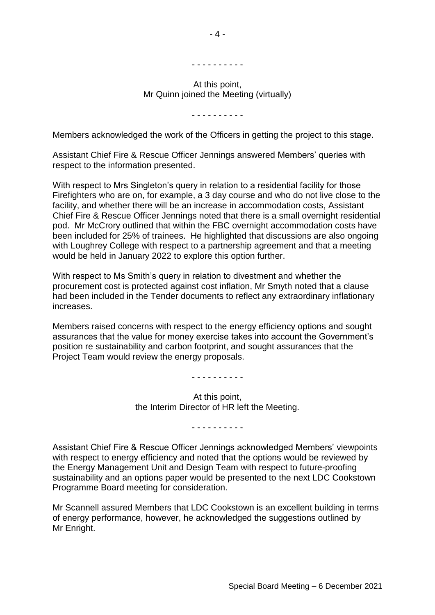#### - - - - - - - - - -

### At this point, Mr Quinn joined the Meeting (virtually)

- - - - - - - - - -

Members acknowledged the work of the Officers in getting the project to this stage.

Assistant Chief Fire & Rescue Officer Jennings answered Members' queries with respect to the information presented.

With respect to Mrs Singleton's query in relation to a residential facility for those Firefighters who are on, for example, a 3 day course and who do not live close to the facility, and whether there will be an increase in accommodation costs, Assistant Chief Fire & Rescue Officer Jennings noted that there is a small overnight residential pod. Mr McCrory outlined that within the FBC overnight accommodation costs have been included for 25% of trainees. He highlighted that discussions are also ongoing with Loughrey College with respect to a partnership agreement and that a meeting would be held in January 2022 to explore this option further.

With respect to Ms Smith's query in relation to divestment and whether the procurement cost is protected against cost inflation, Mr Smyth noted that a clause had been included in the Tender documents to reflect any extraordinary inflationary increases.

Members raised concerns with respect to the energy efficiency options and sought assurances that the value for money exercise takes into account the Government's position re sustainability and carbon footprint, and sought assurances that the Project Team would review the energy proposals.

- - - - - - - - - -

At this point, the Interim Director of HR left the Meeting.

- - - - - - - - - -

Assistant Chief Fire & Rescue Officer Jennings acknowledged Members' viewpoints with respect to energy efficiency and noted that the options would be reviewed by the Energy Management Unit and Design Team with respect to future-proofing sustainability and an options paper would be presented to the next LDC Cookstown Programme Board meeting for consideration.

Mr Scannell assured Members that LDC Cookstown is an excellent building in terms of energy performance, however, he acknowledged the suggestions outlined by Mr Enright.